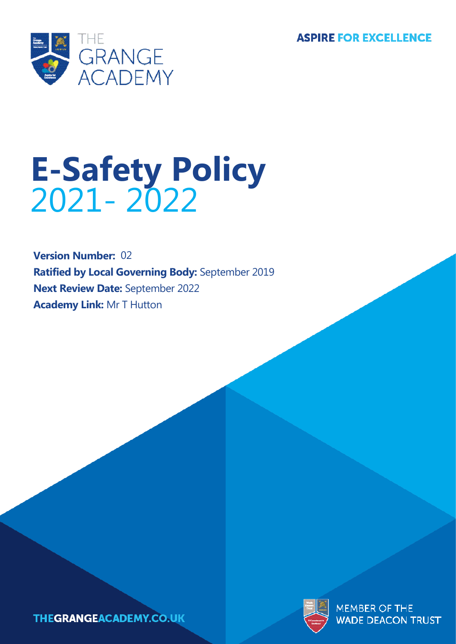**ASPIRE FOR EXCELLENCE** 



# **E-Safety Policy** 2021- 2022 2021- 2022

**Version Number:** 02 **Ratified by Local Governing Body:** September 2019 **Next Review Date:** September 2022 **Academy Link:** Mr T Hutton



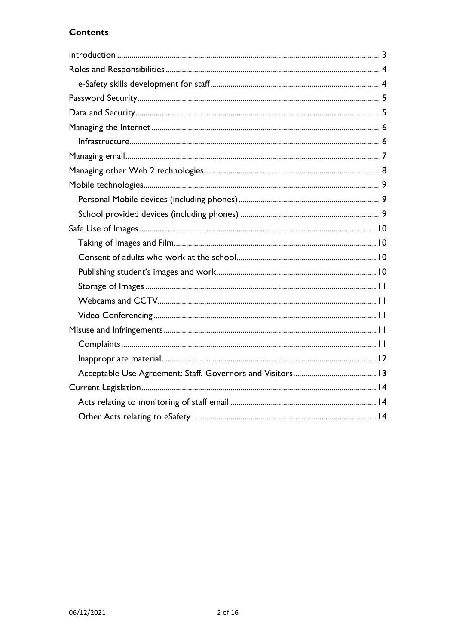# **Contents**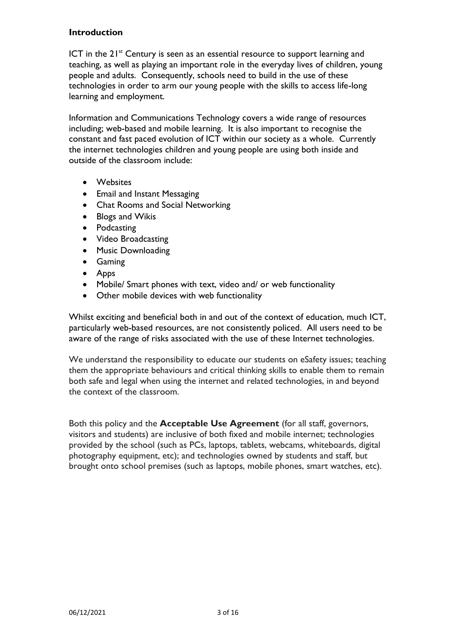## <span id="page-2-0"></span>**Introduction**

ICT in the  $21<sup>st</sup>$  Century is seen as an essential resource to support learning and teaching, as well as playing an important role in the everyday lives of children, young people and adults. Consequently, schools need to build in the use of these technologies in order to arm our young people with the skills to access life-long learning and employment.

Information and Communications Technology covers a wide range of resources including; web-based and mobile learning. It is also important to recognise the constant and fast paced evolution of ICT within our society as a whole. Currently the internet technologies children and young people are using both inside and outside of the classroom include:

- Websites
- Email and Instant Messaging
- Chat Rooms and Social Networking
- Blogs and Wikis
- Podcasting
- Video Broadcasting
- Music Downloading
- Gaming
- Apps
- Mobile/ Smart phones with text, video and/ or web functionality
- Other mobile devices with web functionality

Whilst exciting and beneficial both in and out of the context of education, much ICT, particularly web-based resources, are not consistently policed. All users need to be aware of the range of risks associated with the use of these Internet technologies.

We understand the responsibility to educate our students on eSafety issues; teaching them the appropriate behaviours and critical thinking skills to enable them to remain both safe and legal when using the internet and related technologies, in and beyond the context of the classroom.

Both this policy and the **Acceptable Use Agreement** (for all staff, governors, visitors and students) are inclusive of both fixed and mobile internet; technologies provided by the school (such as PCs, laptops, tablets, webcams, whiteboards, digital photography equipment, etc); and technologies owned by students and staff, but brought onto school premises (such as laptops, mobile phones, smart watches, etc).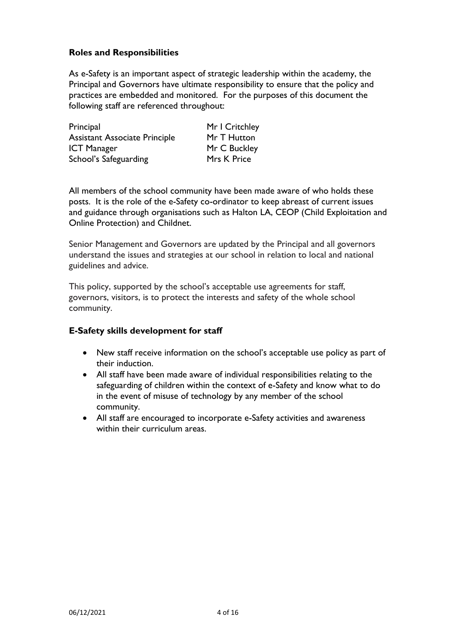# <span id="page-3-0"></span>**Roles and Responsibilities**

As e-Safety is an important aspect of strategic leadership within the academy, the Principal and Governors have ultimate responsibility to ensure that the policy and practices are embedded and monitored. For the purposes of this document the following staff are referenced throughout:

| Principal                            | Mr |
|--------------------------------------|----|
| <b>Assistant Associate Principle</b> | Mr |
| <b>ICT Manager</b>                   | Mr |
| School's Safeguarding                | Mr |

r I Critchley r T Hutton r C Buckley rs K Price

All members of the school community have been made aware of who holds these posts. It is the role of the e-Safety co-ordinator to keep abreast of current issues and guidance through organisations such as Halton LA, CEOP (Child Exploitation and Online Protection) and Childnet.

Senior Management and Governors are updated by the Principal and all governors understand the issues and strategies at our school in relation to local and national guidelines and advice.

This policy, supported by the school's acceptable use agreements for staff, governors, visitors, is to protect the interests and safety of the whole school community.

#### <span id="page-3-1"></span>**E-Safety skills development for staff**

- New staff receive information on the school's acceptable use policy as part of their induction.
- All staff have been made aware of individual responsibilities relating to the safeguarding of children within the context of e-Safety and know what to do in the event of misuse of technology by any member of the school community.
- All staff are encouraged to incorporate e-Safety activities and awareness within their curriculum areas.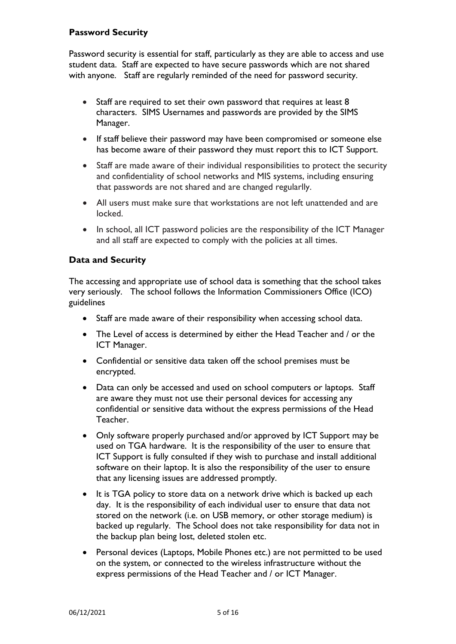# <span id="page-4-0"></span>**Password Security**

Password security is essential for staff, particularly as they are able to access and use student data. Staff are expected to have secure passwords which are not shared with anyone. Staff are regularly reminded of the need for password security.

- Staff are required to set their own password that requires at least 8 characters. SIMS Usernames and passwords are provided by the SIMS Manager.
- If staff believe their password may have been compromised or someone else has become aware of their password they must report this to ICT Support.
- Staff are made aware of their individual responsibilities to protect the security and confidentiality of school networks and MIS systems, including ensuring that passwords are not shared and are changed regularlly.
- All users must make sure that workstations are not left unattended and are locked.
- In school, all ICT password policies are the responsibility of the ICT Manager and all staff are expected to comply with the policies at all times.

## <span id="page-4-1"></span>**Data and Security**

The accessing and appropriate use of school data is something that the school takes very seriously. The school follows the Information Commissioners Office (ICO) guidelines

- Staff are made aware of their responsibility when accessing school data.
- The Level of access is determined by either the Head Teacher and / or the ICT Manager.
- Confidential or sensitive data taken off the school premises must be encrypted.
- Data can only be accessed and used on school computers or laptops. Staff are aware they must not use their personal devices for accessing any confidential or sensitive data without the express permissions of the Head Teacher.
- Only software properly purchased and/or approved by ICT Support may be used on TGA hardware. It is the responsibility of the user to ensure that ICT Support is fully consulted if they wish to purchase and install additional software on their laptop. It is also the responsibility of the user to ensure that any licensing issues are addressed promptly.
- It is TGA policy to store data on a network drive which is backed up each day. It is the responsibility of each individual user to ensure that data not stored on the network (i.e. on USB memory, or other storage medium) is backed up regularly. The School does not take responsibility for data not in the backup plan being lost, deleted stolen etc.
- Personal devices (Laptops, Mobile Phones etc.) are not permitted to be used on the system, or connected to the wireless infrastructure without the express permissions of the Head Teacher and / or ICT Manager.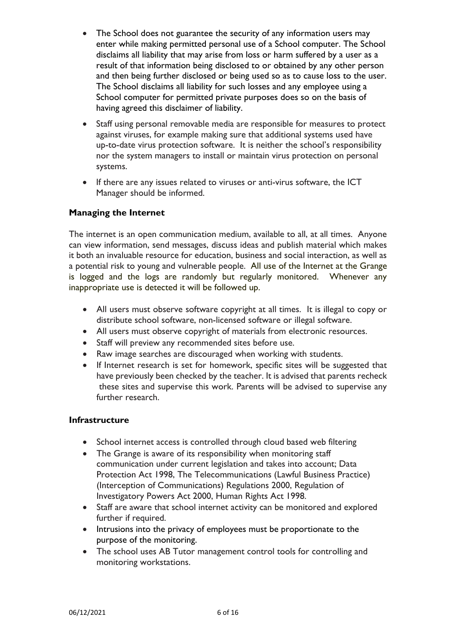- The School does not guarantee the security of any information users may enter while making permitted personal use of a School computer. The School disclaims all liability that may arise from loss or harm suffered by a user as a result of that information being disclosed to or obtained by any other person and then being further disclosed or being used so as to cause loss to the user. The School disclaims all liability for such losses and any employee using a School computer for permitted private purposes does so on the basis of having agreed this disclaimer of liability.
- Staff using personal removable media are responsible for measures to protect against viruses, for example making sure that additional systems used have up-to-date virus protection software. It is neither the school's responsibility nor the system managers to install or maintain virus protection on personal systems.
- If there are any issues related to viruses or anti-virus software, the ICT Manager should be informed.

# <span id="page-5-0"></span>**Managing the Internet**

The internet is an open communication medium, available to all, at all times. Anyone can view information, send messages, discuss ideas and publish material which makes it both an invaluable resource for education, business and social interaction, as well as a potential risk to young and vulnerable people. All use of the Internet at the Grange is logged and the logs are randomly but regularly monitored. Whenever any inappropriate use is detected it will be followed up.

- All users must observe software copyright at all times. It is illegal to copy or distribute school software, non-licensed software or illegal software.
- All users must observe copyright of materials from electronic resources.
- Staff will preview any recommended sites before use.
- Raw image searches are discouraged when working with students.
- If Internet research is set for homework, specific sites will be suggested that have previously been checked by the teacher. It is advised that parents recheck these sites and supervise this work. Parents will be advised to supervise any further research.

# <span id="page-5-1"></span>**Infrastructure**

- School internet access is controlled through cloud based web filtering
- The Grange is aware of its responsibility when monitoring staff communication under current legislation and takes into account; Data Protection Act 1998, The Telecommunications (Lawful Business Practice) (Interception of Communications) Regulations 2000, Regulation of Investigatory Powers Act 2000, Human Rights Act 1998.
- Staff are aware that school internet activity can be monitored and explored further if required.
- Intrusions into the privacy of employees must be proportionate to the purpose of the monitoring.
- The school uses AB Tutor management control tools for controlling and monitoring workstations.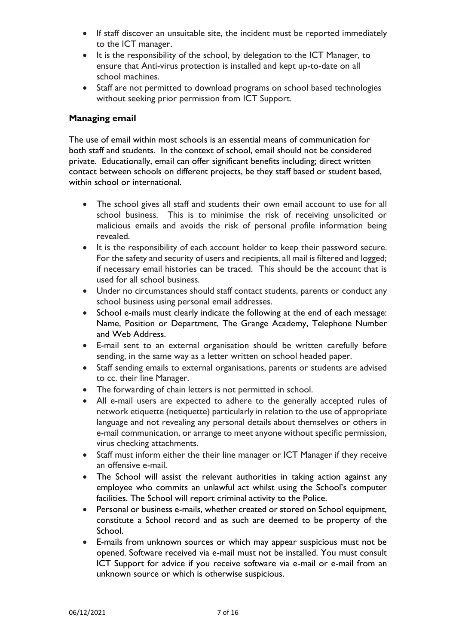- If staff discover an unsuitable site, the incident must be reported immediately to the ICT manager.
- It is the responsibility of the school, by delegation to the ICT Manager, to ensure that Anti-virus protection is installed and kept up-to-date on all school machines.
- Staff are not permitted to download programs on school based technologies without seeking prior permission from ICT Support.

## <span id="page-6-0"></span>**Managing email**

The use of email within most schools is an essential means of communication for both staff and students. In the context of school, email should not be considered private. Educationally, email can offer significant benefits including; direct written contact between schools on different projects, be they staff based or student based, within school or international.

- The school gives all staff and students their own email account to use for all school business. This is to minimise the risk of receiving unsolicited or malicious emails and avoids the risk of personal profile information being revealed.
- It is the responsibility of each account holder to keep their password secure. For the safety and security of users and recipients, all mail is filtered and logged; if necessary email histories can be traced. This should be the account that is used for all school business.
- Under no circumstances should staff contact students, parents or conduct any school business using personal email addresses.
- School e-mails must clearly indicate the following at the end of each message: Name, Position or Department, The Grange Academy, Telephone Number and Web Address.
- E-mail sent to an external organisation should be written carefully before sending, in the same way as a letter written on school headed paper.
- Staff sending emails to external organisations, parents or students are advised to cc. their line Manager.
- The forwarding of chain letters is not permitted in school.
- All e-mail users are expected to adhere to the generally accepted rules of network etiquette (netiquette) particularly in relation to the use of appropriate language and not revealing any personal details about themselves or others in e-mail communication, or arrange to meet anyone without specific permission, virus checking attachments.
- Staff must inform either the their line manager or ICT Manager if they receive an offensive e-mail.
- The School will assist the relevant authorities in taking action against any employee who commits an unlawful act whilst using the School's computer facilities. The School will report criminal activity to the Police.
- Personal or business e-mails, whether created or stored on School equipment, constitute a School record and as such are deemed to be property of the School.
- E-mails from unknown sources or which may appear suspicious must not be opened. Software received via e-mail must not be installed. You must consult ICT Support for advice if you receive software via e-mail or e-mail from an unknown source or which is otherwise suspicious.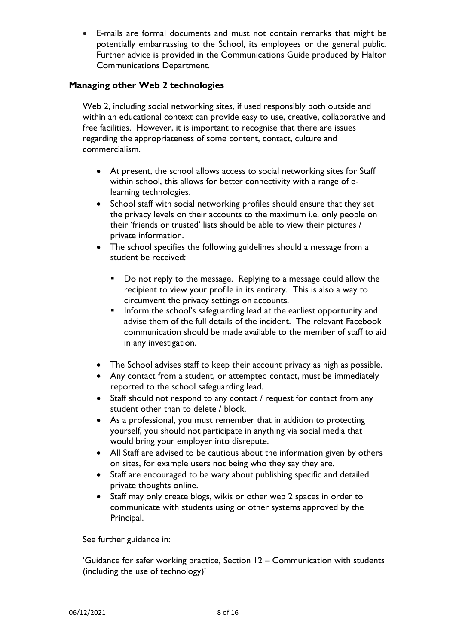• E-mails are formal documents and must not contain remarks that might be potentially embarrassing to the School, its employees or the general public. Further advice is provided in the Communications Guide produced by Halton Communications Department.

# <span id="page-7-0"></span>**Managing other Web 2 technologies**

Web 2, including social networking sites, if used responsibly both outside and within an educational context can provide easy to use, creative, collaborative and free facilities. However, it is important to recognise that there are issues regarding the appropriateness of some content, contact, culture and commercialism.

- At present, the school allows access to social networking sites for Staff within school, this allows for better connectivity with a range of elearning technologies.
- School staff with social networking profiles should ensure that they set the privacy levels on their accounts to the maximum i.e. only people on their 'friends or trusted' lists should be able to view their pictures / private information.
- The school specifies the following guidelines should a message from a student be received:
	- Do not reply to the message. Replying to a message could allow the recipient to view your profile in its entirety. This is also a way to circumvent the privacy settings on accounts.
	- **■** Inform the school's safeguarding lead at the earliest opportunity and advise them of the full details of the incident. The relevant Facebook communication should be made available to the member of staff to aid in any investigation.
- The School advises staff to keep their account privacy as high as possible.
- Any contact from a student, or attempted contact, must be immediately reported to the school safeguarding lead.
- Staff should not respond to any contact / request for contact from any student other than to delete / block.
- As a professional, you must remember that in addition to protecting yourself, you should not participate in anything via social media that would bring your employer into disrepute.
- All Staff are advised to be cautious about the information given by others on sites, for example users not being who they say they are.
- Staff are encouraged to be wary about publishing specific and detailed private thoughts online.
- Staff may only create blogs, wikis or other web 2 spaces in order to communicate with students using or other systems approved by the Principal.

See further guidance in:

'Guidance for safer working practice, Section 12 – Communication with students (including the use of technology)'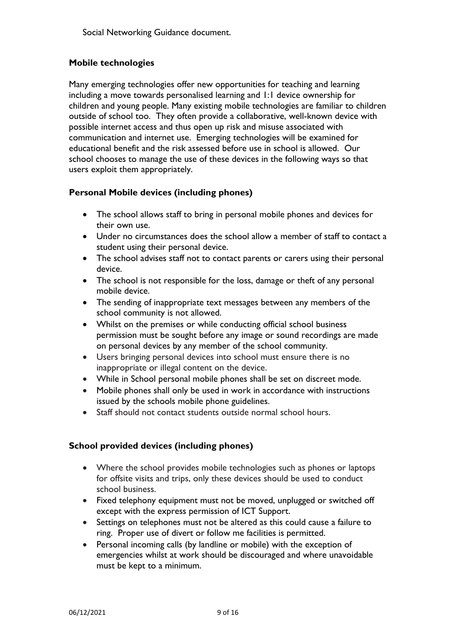# <span id="page-8-0"></span>**Mobile technologies**

Many emerging technologies offer new opportunities for teaching and learning including a move towards personalised learning and 1:1 device ownership for children and young people. Many existing mobile technologies are familiar to children outside of school too. They often provide a collaborative, well-known device with possible internet access and thus open up risk and misuse associated with communication and internet use. Emerging technologies will be examined for educational benefit and the risk assessed before use in school is allowed. Our school chooses to manage the use of these devices in the following ways so that users exploit them appropriately.

# <span id="page-8-1"></span>**Personal Mobile devices (including phones)**

- The school allows staff to bring in personal mobile phones and devices for their own use.
- Under no circumstances does the school allow a member of staff to contact a student using their personal device.
- The school advises staff not to contact parents or carers using their personal device.
- The school is not responsible for the loss, damage or theft of any personal mobile device.
- The sending of inappropriate text messages between any members of the school community is not allowed.
- Whilst on the premises or while conducting official school business permission must be sought before any image or sound recordings are made on personal devices by any member of the school community.
- Users bringing personal devices into school must ensure there is no inappropriate or illegal content on the device.
- While in School personal mobile phones shall be set on discreet mode.
- Mobile phones shall only be used in work in accordance with instructions issued by the schools mobile phone guidelines.
- Staff should not contact students outside normal school hours.

# <span id="page-8-2"></span>**School provided devices (including phones)**

- Where the school provides mobile technologies such as phones or laptops for offsite visits and trips, only these devices should be used to conduct school business.
- Fixed telephony equipment must not be moved, unplugged or switched off except with the express permission of ICT Support.
- Settings on telephones must not be altered as this could cause a failure to ring. Proper use of divert or follow me facilities is permitted.
- Personal incoming calls (by landline or mobile) with the exception of emergencies whilst at work should be discouraged and where unavoidable must be kept to a minimum.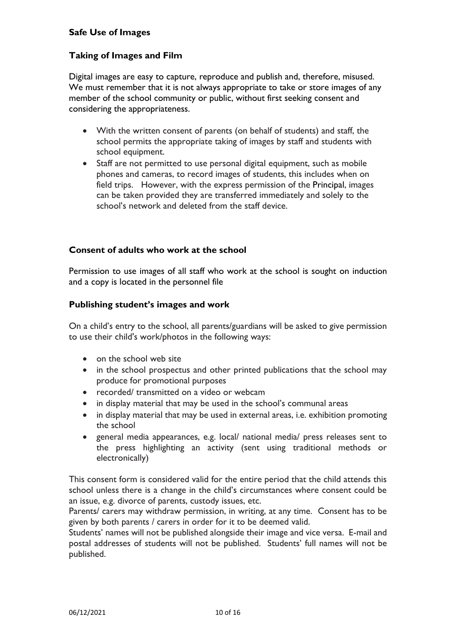## <span id="page-9-0"></span>**Safe Use of Images**

# <span id="page-9-1"></span>**Taking of Images and Film**

Digital images are easy to capture, reproduce and publish and, therefore, misused. We must remember that it is not always appropriate to take or store images of any member of the school community or public, without first seeking consent and considering the appropriateness.

- With the written consent of parents (on behalf of students) and staff, the school permits the appropriate taking of images by staff and students with school equipment.
- Staff are not permitted to use personal digital equipment, such as mobile phones and cameras, to record images of students, this includes when on field trips. However, with the express permission of the Principal, images can be taken provided they are transferred immediately and solely to the school's network and deleted from the staff device.

## <span id="page-9-2"></span>**Consent of adults who work at the school**

Permission to use images of all staff who work at the school is sought on induction and a copy is located in the personnel file

#### <span id="page-9-3"></span>**Publishing student's images and work**

On a child's entry to the school, all parents/guardians will be asked to give permission to use their child's work/photos in the following ways:

- on the school web site
- in the school prospectus and other printed publications that the school may produce for promotional purposes
- recorded/ transmitted on a video or webcam
- in display material that may be used in the school's communal areas
- in display material that may be used in external areas, i.e. exhibition promoting the school
- general media appearances, e.g. local/ national media/ press releases sent to the press highlighting an activity (sent using traditional methods or electronically)

This consent form is considered valid for the entire period that the child attends this school unless there is a change in the child's circumstances where consent could be an issue, e.g. divorce of parents, custody issues, etc.

Parents/ carers may withdraw permission, in writing, at any time. Consent has to be given by both parents / carers in order for it to be deemed valid.

Students' names will not be published alongside their image and vice versa. E-mail and postal addresses of students will not be published. Students' full names will not be published.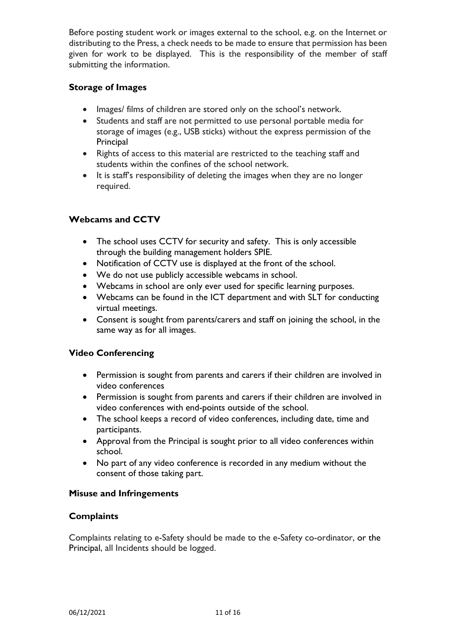Before posting student work or images external to the school, e.g. on the Internet or distributing to the Press, a check needs to be made to ensure that permission has been given for work to be displayed. This is the responsibility of the member of staff submitting the information.

# <span id="page-10-0"></span>**Storage of Images**

- Images/ films of children are stored only on the school's network.
- Students and staff are not permitted to use personal portable media for storage of images (e.g., USB sticks) without the express permission of the **Principal**
- Rights of access to this material are restricted to the teaching staff and students within the confines of the school network.
- It is staff's responsibility of deleting the images when they are no longer required.

# <span id="page-10-1"></span>**Webcams and CCTV**

- The school uses CCTV for security and safety. This is only accessible through the building management holders SPIE.
- Notification of CCTV use is displayed at the front of the school.
- We do not use publicly accessible webcams in school.
- Webcams in school are only ever used for specific learning purposes.
- Webcams can be found in the ICT department and with SLT for conducting virtual meetings.
- Consent is sought from parents/carers and staff on joining the school, in the same way as for all images.

# <span id="page-10-2"></span>**Video Conferencing**

- Permission is sought from parents and carers if their children are involved in video conferences
- Permission is sought from parents and carers if their children are involved in video conferences with end-points outside of the school.
- The school keeps a record of video conferences, including date, time and participants.
- Approval from the Principal is sought prior to all video conferences within school.
- No part of any video conference is recorded in any medium without the consent of those taking part.

# <span id="page-10-3"></span>**Misuse and Infringements**

# <span id="page-10-4"></span>**Complaints**

Complaints relating to e-Safety should be made to the e-Safety co-ordinator, or the Principal, all Incidents should be logged.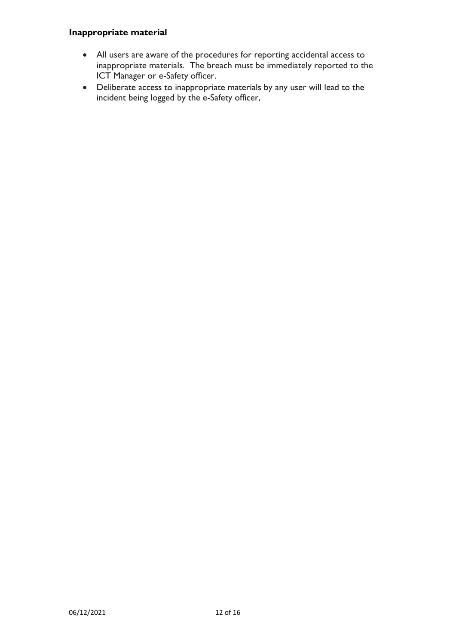# <span id="page-11-0"></span>**Inappropriate material**

- All users are aware of the procedures for reporting accidental access to inappropriate materials. The breach must be immediately reported to the ICT Manager or e-Safety officer.
- Deliberate access to inappropriate materials by any user will lead to the incident being logged by the e-Safety officer,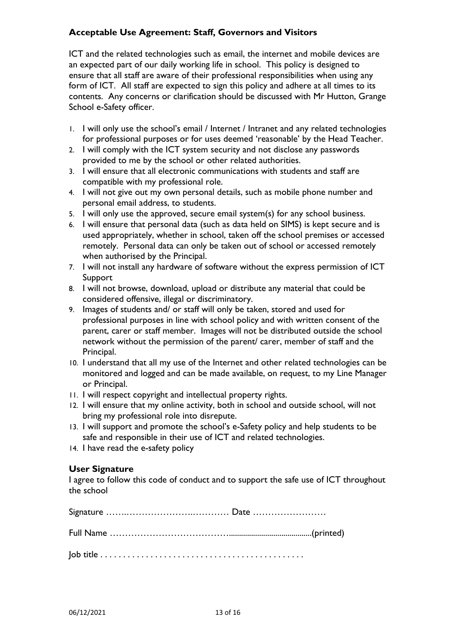# <span id="page-12-0"></span>**Acceptable Use Agreement: Staff, Governors and Visitors**

ICT and the related technologies such as email, the internet and mobile devices are an expected part of our daily working life in school. This policy is designed to ensure that all staff are aware of their professional responsibilities when using any form of ICT. All staff are expected to sign this policy and adhere at all times to its contents. Any concerns or clarification should be discussed with Mr Hutton, Grange School e-Safety officer.

- 1. I will only use the school's email / Internet / Intranet and any related technologies for professional purposes or for uses deemed 'reasonable' by the Head Teacher.
- 2. I will comply with the ICT system security and not disclose any passwords provided to me by the school or other related authorities.
- 3. I will ensure that all electronic communications with students and staff are compatible with my professional role.
- 4. I will not give out my own personal details, such as mobile phone number and personal email address, to students.
- 5. I will only use the approved, secure email system(s) for any school business.
- 6. I will ensure that personal data (such as data held on SIMS) is kept secure and is used appropriately, whether in school, taken off the school premises or accessed remotely. Personal data can only be taken out of school or accessed remotely when authorised by the Principal.
- 7. I will not install any hardware of software without the express permission of ICT Support
- 8. I will not browse, download, upload or distribute any material that could be considered offensive, illegal or discriminatory.
- 9. Images of students and/ or staff will only be taken, stored and used for professional purposes in line with school policy and with written consent of the parent, carer or staff member. Images will not be distributed outside the school network without the permission of the parent/ carer, member of staff and the Principal.
- 10. I understand that all my use of the Internet and other related technologies can be monitored and logged and can be made available, on request, to my Line Manager or Principal.
- 11. I will respect copyright and intellectual property rights.
- 12. I will ensure that my online activity, both in school and outside school, will not bring my professional role into disrepute.
- 13. I will support and promote the school's e-Safety policy and help students to be safe and responsible in their use of ICT and related technologies.
- 14. I have read the e-safety policy

# **User Signature**

I agree to follow this code of conduct and to support the safe use of ICT throughout the school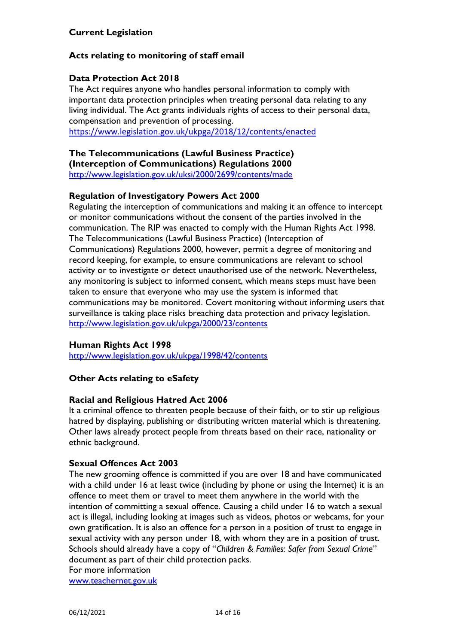# <span id="page-13-1"></span><span id="page-13-0"></span>**Acts relating to monitoring of staff email**

# **Data Protection Act 2018**

The Act requires anyone who handles personal information to comply with important data protection principles when treating personal data relating to any living individual. The Act grants individuals rights of access to their personal data, compensation and prevention of processing.

<https://www.legislation.gov.uk/ukpga/2018/12/contents/enacted>

**The Telecommunications (Lawful Business Practice) (Interception of Communications) Regulations 2000** <http://www.legislation.gov.uk/uksi/2000/2699/contents/made>

# **Regulation of Investigatory Powers Act 2000**

Regulating the interception of communications and making it an offence to intercept or monitor communications without the consent of the parties involved in the communication. The RIP was enacted to comply with the Human Rights Act 1998. The Telecommunications (Lawful Business Practice) (Interception of Communications) Regulations 2000, however, permit a degree of monitoring and record keeping, for example, to ensure communications are relevant to school activity or to investigate or detect unauthorised use of the network. Nevertheless, any monitoring is subject to informed consent, which means steps must have been taken to ensure that everyone who may use the system is informed that communications may be monitored. Covert monitoring without informing users that surveillance is taking place risks breaching data protection and privacy legislation. <http://www.legislation.gov.uk/ukpga/2000/23/contents>

#### **Human Rights Act 1998**

<http://www.legislation.gov.uk/ukpga/1998/42/contents>

# <span id="page-13-2"></span>**Other Acts relating to eSafety**

#### **Racial and Religious Hatred Act 2006**

It a criminal offence to threaten people because of their faith, or to stir up religious hatred by displaying, publishing or distributing written material which is threatening. Other laws already protect people from threats based on their race, nationality or ethnic background.

#### **Sexual Offences Act 2003**

The new grooming offence is committed if you are over 18 and have communicated with a child under 16 at least twice (including by phone or using the Internet) it is an offence to meet them or travel to meet them anywhere in the world with the intention of committing a sexual offence. Causing a child under 16 to watch a sexual act is illegal, including looking at images such as videos, photos or webcams, for your own gratification. It is also an offence for a person in a position of trust to engage in sexual activity with any person under 18, with whom they are in a position of trust. Schools should already have a copy of "*Children & Families: Safer from Sexual Crime*" document as part of their child protection packs.

For more information

[www.teachernet.gov.uk](http://www.teachernet.gov.uk/)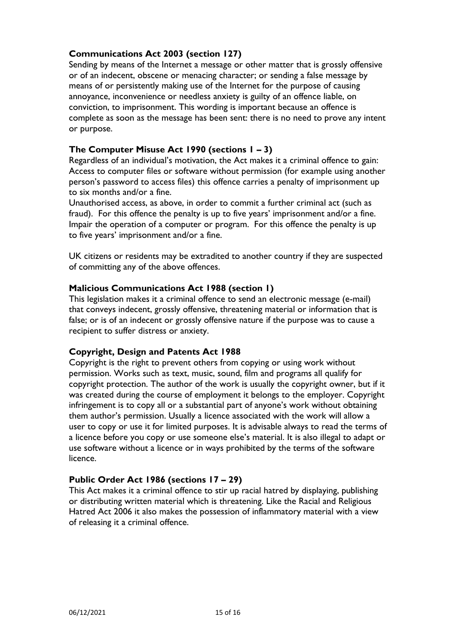# **Communications Act 2003 (section 127)**

Sending by means of the Internet a message or other matter that is grossly offensive or of an indecent, obscene or menacing character; or sending a false message by means of or persistently making use of the Internet for the purpose of causing annoyance, inconvenience or needless anxiety is guilty of an offence liable, on conviction, to imprisonment. This wording is important because an offence is complete as soon as the message has been sent: there is no need to prove any intent or purpose.

# **The Computer Misuse Act 1990 (sections 1 – 3)**

Regardless of an individual's motivation, the Act makes it a criminal offence to gain: Access to computer files or software without permission (for example using another person's password to access files) this offence carries a penalty of imprisonment up to six months and/or a fine.

Unauthorised access, as above, in order to commit a further criminal act (such as fraud). For this offence the penalty is up to five years' imprisonment and/or a fine. Impair the operation of a computer or program. For this offence the penalty is up to five years' imprisonment and/or a fine.

UK citizens or residents may be extradited to another country if they are suspected of committing any of the above offences.

#### **Malicious Communications Act 1988 (section 1)**

This legislation makes it a criminal offence to send an electronic message (e-mail) that conveys indecent, grossly offensive, threatening material or information that is false; or is of an indecent or grossly offensive nature if the purpose was to cause a recipient to suffer distress or anxiety.

#### **Copyright, Design and Patents Act 1988**

Copyright is the right to prevent others from copying or using work without permission. Works such as text, music, sound, film and programs all qualify for copyright protection. The author of the work is usually the copyright owner, but if it was created during the course of employment it belongs to the employer. Copyright infringement is to copy all or a substantial part of anyone's work without obtaining them author's permission. Usually a licence associated with the work will allow a user to copy or use it for limited purposes. It is advisable always to read the terms of a licence before you copy or use someone else's material. It is also illegal to adapt or use software without a licence or in ways prohibited by the terms of the software licence.

#### **Public Order Act 1986 (sections 17 – 29)**

This Act makes it a criminal offence to stir up racial hatred by displaying, publishing or distributing written material which is threatening. Like the Racial and Religious Hatred Act 2006 it also makes the possession of inflammatory material with a view of releasing it a criminal offence.